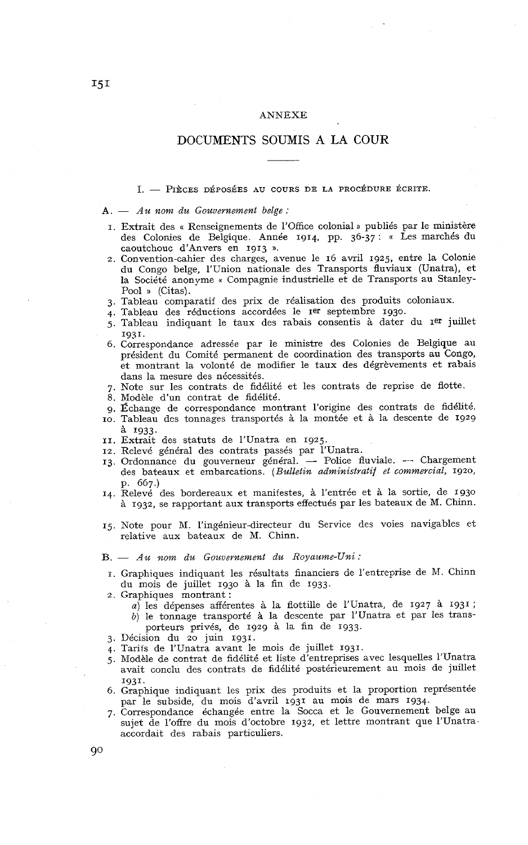#### ANNEXE

# DOCUMENTS SOUMIS **A** LA COUR

*A.*  $-$  *Pièces déposées au cours de la procédure écrite.*<br> **A.**  $-$  *Au nom du Gouvernement belge :* 

- I. Extrait des « Renseignements de l'Office colonial a publiés par le ministère des Colonies de Belgique. Année 1914, pp. 36-37 : « Les marchés du caoutchouc d'Anvers en 1913 n.
- 2. Convention-cahier des charges, avenue le 16 avril 1925. entre la Colonie du Congo belge, l'Union nationale des Transports fluviaux (Unatra), et la Société anonyme « Compagnie industrielle et de Transports au Stanley-Pool » (Citas).
- 3. Tableau comparatif des prix de réalisation des produits coloniaux.
- 4. Tableau des réductions accordées le Ier septembre 1930.
- 5. Tableau indiquant le taux des rabais consentis à dater du Ier juillet 1931.
- 6. Correspondance adressée par le ministre des Colonies de Belgique au président du Comité permanent de coordination des transports au Congo, et montrant la volonté de modifier le taux des dégrèvements et rabais dans la mesure des nécessités.
- 7. Note sur les contrats de fidélité et les contrats de reprise de flotte.
- 8. Modèle d'un contrat de fidélité.
- g. Échange de correspondance montrant l'origine des contrats de fidélité.
- IO. Tableau des tonnages transportés à la montée et à la descente de 1929
- <sup>à</sup>1933. II. Extrait des statuts de 1'Unatra en 1925.
- 12. Relevé général des contrats passés par l'Unatra.
- 13. Ordonnance du gouverneur général. Police fluviale. Chargement des bateaux et embarcations. *(Bulletin administratif et commercial,* 1920,  $p. 667.$
- 14. Relevé des bordereaux et manifestes, à l'entrée et à la sortie, de 1930 à 1932. se rapportant aux transports effectués par les bateaux de M. Chinn.
- 15. Note pour M. l'ingénieur-directeur du Service des voies navigables et relative aux bateaux de M. Chinn.

*B.* - *Au nom du Gouvernement du Royaume-Uni* :

- I. Graphiques indiquant les résultats financiers de l'entreprise de M. Chinn du mois de juillet 1930 à la fin de 1933.
- 2. Graphiques montrant :
	- *a*) les dépenses afférentes à la flottille de l'Unatra, de 1927 à 1931; *b)* le tonnage transporté à la descente par 1'Unatra et par les trans-
	- porteurs privés, de 1929 à la fin de 1933.
- 3. Décision du 20 juin 1931.
- **4.** Tarits de 1'Unatra avant le mois de juillet 1931.
- 5. Modèle de contrat de fidélité et liste d'entreprises avec lesquelles l'Unatra avait conclu des contrats de fidélité postérieurement au mois de juillet 1931.
- 6. Graphique indiquant les prix des produits et la proportion représentée par le subside, du mois d'avril 1931 au mois de mars 1934.
- 7. Correspondance échangée entre la Socca et le Gouvernement belge au sujet de l'offre du mois d'octobre 1932, et lettre montrant que l'Unatra accordait des rabais particuliers.

90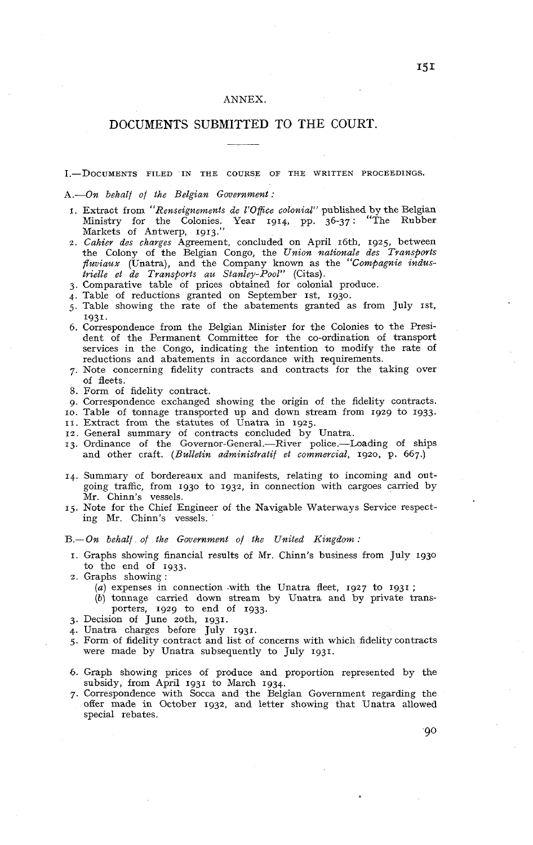## ANNEX.

# DOCUMENTS SUBMITTED TO THE COURT.

## I.-DOCUMENTS FILED IN THE COURSE OF THE WRITTEN PROCEEDINGS.

#### *A.-On behalf of the Belgian Government* :

- 1. Extract from *"Renseignements de 1'OfFce colonial"* published by the Belgian Ministry for the Colonies. Year 1914, pp. 36-37 : "The Rubber Ministry for the Colonies. Year 1914, pp. 36-37:<br>Markets of Antwerp, 1913."
- 2. *Cahier des charges* Agreement, concluded on April 16th, 1925, between the Colony of the Belgian Congo, the *Union nationale des Transports fluviaux* (Unatra), and the Company known as the *Compagnie industrielle et de Transports au Stanley-Pool"* (Citas).
- 3. Comparative table of prices obtained for colonial produce.
- $4.$  Table of reductions granted on September 1st, 1930.
- 5. Table showing the rate of the abatements granted as from July 1st. 1931.
- *6.* Correspondence from the Belgian Minister for the Colonies to the President of the Permanent Committee for the co-ordination of transport services in the Congo, indicating the intention to modify the rate of reductions and abatements in accordance with requirements.
- 7. Note concerning fidelity contracts and contracts for the taking over of fleets.
- 8. Form of fidelity contract.
- 9. Correspondence exchanged showing the origin of the fidelity contracts.
- IO. Table of tonnage transported up and down stream from 1929 to 1933.
- II. Extract from the statutes of Unatra in 1925. 12. General summary of contracts concluded by Unatra.
- 13. Ordinance of the Governor-General.-River police.-Loading of ships
- and other craft. *(Bulletin administratif et commercial,* 1920, p. 667.)
- **14.** Summary of bordereaux and manifests, relating to incoming and outgoing traffic, from 1930 to 1932, in connection with cargoes carried by Mr. Chinn's vessels.
- 15. Note for the Chief Engineer of the Navigable Waterways Service respecting Mr. Chinn's vessels.

*B.-On behalf of the Government of the United Kingdom* :

- I. Graphs showing financial results of Mr. Chinn's business from July 1930 to the end of 1933.
- *2.* Graphs showing :
	- *(a)* expenses in connection .with the Unatra fleet, 1927 to 1931 ;
	- *(b)* tonnage carried down stream by Unatra and by private transporters, 1929 to end of 1933.
- *3.* Decision of June zoth, 1931.
- 4. Unatra charges before July 1931.
- *5.* Form of fidelity contract and list of concerns with which fidelity contracts were made by Unatra subsequently to July 1931.
- 6. Graph showing prices of produce and proportion represented by the subsidy, from April 1931 to March 1934.
- **7.** Correspondence with Socca and the Belgian Government regarding the offer made in October 1932, and letter showing that Unatra allowed special rebates.

90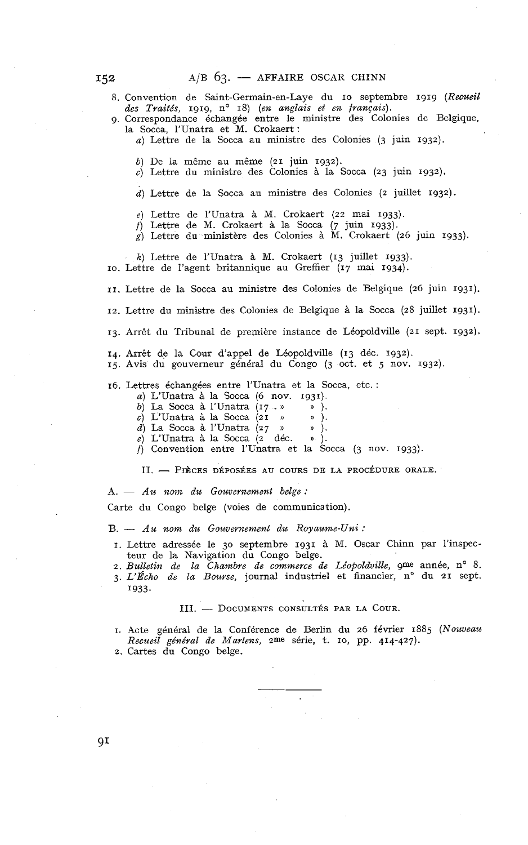8. Convention de Saint-Germain-en-Laye du 10 septembre 1919 (Recueil des Traités, 1919, n<sup>o</sup> 18) (en anglais et en français).

- *g* Correspondance échangée entre le ministre des Colonies de Belgique, la Socca, 1'Unatra et M. Crokaert :
	- *a)* Lettre de la Socca au ministre des Colonies *(3* juin *1932).*
	- *b)* De la même au même *(21* juin *1932).*
	- *c)* Lettre du ministre des Colonies à la Socca *(23* juin *1932).*
	- *d)* Lettre de la Socca au ministre des Colonies *(2* juillet *1932).*
	- e) Lettre de 1'Unatra à M. Crokaert *(22* mai *1933).*
	- f) Lettre de M. Crokaert à la Socca *(7* juin *1933).*
	- *g)* Lettre du ministère des Colonies à M. Crokaert *(26* juin *1933).*

*h)* Lettre de 1'Unatra à M. Crokaert *(13* juillet *1933). IO.* Lettre de l'agent britannique au Greffier *(17* mai *1934).* 

*II.* Lettre de la Socca au ministre des Colonies de Belgique *(26* juin *1931).* 

*12.* Lettre du ministre des Colonies de Belgique à la Socca *(28* juillet *1931).* 

*13.* Arrêt du Tribunal de première instance de Léopoldville *(21* sept. *1932).* 

- *14.* Arrêt de la Cour d'appel de Léopoldville *(13* déc. *1932).*
- *15.* Avis du gouverneur général du Congo *(3* oct. et *5* nov. *1932).*

*16.* Lettres échangées entre 1'Unatra et la Socca, etc. :

- *a)* L'Unatra à la Socca *(6* nov. *1931).*
- *b*) La Socca à l'Unatra (17 · » ).<br>*c*) L'Unatra à la Socca (21 » » ).
- $c)$  L'Unatra à la Socca  $(21)$
- *d)* La Socca à 1'Unatra *(27* **)1** » ).
- *e)* L'Unatra à la Socca **(2** déc. **s** ).
- 

f) Convention entre l'Unatra et la Socca (3 nov. 1933).<br>II. — PIÈCES DÉPOSÉES AU COURS DE LA PROCÉDURE ORALE. *A. — PIÈCES DÉPOSÉES AU COURS DE LA PROCÉDURE ORALE.*<br> *A. — Au nom du Gouvernement belge :* 

Carte du Congo belge (voies de communication).

B. - *Au nom du Gouvarnement du Royaume-Uni* :

- *I.* Lettre adressée le 30 septembre *1931* à M. Oscar Chinn par l'inspecteur de la Navigation du Congo belge.
- 2. Bulletin de la Chambre de commerce de Léopoldville, 9me année, n° 8.
- 3. L'Echo de la Bourse, journal industriel et financier, n° du 21 sept. *1933.*

#### III. - DOCUMENTS CONSULTÉS PAR LA COUR.

- I. Acte général de la Conférence de Berlin du *26* février *188j (Nozrveau Recueil général de Martens, 2me* série, t. *IO,* pp. *414-427).*
- **2.** Cartes du Congo belge.

 $QI$ 

152